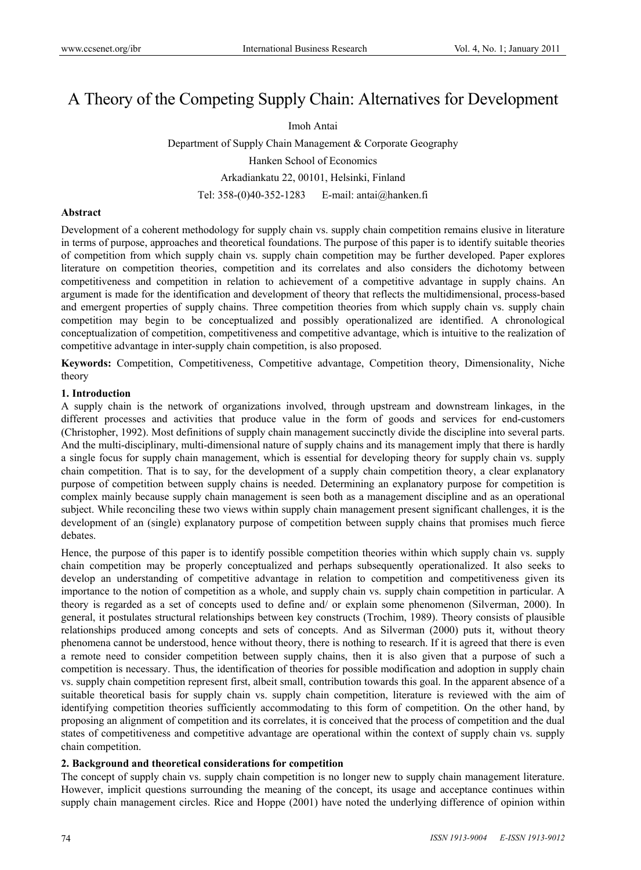# A Theory of the Competing Supply Chain: Alternatives for Development

Imoh Antai Department of Supply Chain Management & Corporate Geography Hanken School of Economics Arkadiankatu 22, 00101, Helsinki, Finland Tel: 358-(0)40-352-1283 E-mail: antai@hanken.fi

#### **Abstract**

Development of a coherent methodology for supply chain vs. supply chain competition remains elusive in literature in terms of purpose, approaches and theoretical foundations. The purpose of this paper is to identify suitable theories of competition from which supply chain vs. supply chain competition may be further developed. Paper explores literature on competition theories, competition and its correlates and also considers the dichotomy between competitiveness and competition in relation to achievement of a competitive advantage in supply chains. An argument is made for the identification and development of theory that reflects the multidimensional, process-based and emergent properties of supply chains. Three competition theories from which supply chain vs. supply chain competition may begin to be conceptualized and possibly operationalized are identified. A chronological conceptualization of competition, competitiveness and competitive advantage, which is intuitive to the realization of competitive advantage in inter-supply chain competition, is also proposed.

**Keywords:** Competition, Competitiveness, Competitive advantage, Competition theory, Dimensionality, Niche theory

#### **1. Introduction**

A supply chain is the network of organizations involved, through upstream and downstream linkages, in the different processes and activities that produce value in the form of goods and services for end-customers (Christopher, 1992). Most definitions of supply chain management succinctly divide the discipline into several parts. And the multi-disciplinary, multi-dimensional nature of supply chains and its management imply that there is hardly a single focus for supply chain management, which is essential for developing theory for supply chain vs. supply chain competition. That is to say, for the development of a supply chain competition theory, a clear explanatory purpose of competition between supply chains is needed. Determining an explanatory purpose for competition is complex mainly because supply chain management is seen both as a management discipline and as an operational subject. While reconciling these two views within supply chain management present significant challenges, it is the development of an (single) explanatory purpose of competition between supply chains that promises much fierce debates.

Hence, the purpose of this paper is to identify possible competition theories within which supply chain vs. supply chain competition may be properly conceptualized and perhaps subsequently operationalized. It also seeks to develop an understanding of competitive advantage in relation to competition and competitiveness given its importance to the notion of competition as a whole, and supply chain vs. supply chain competition in particular. A theory is regarded as a set of concepts used to define and/ or explain some phenomenon (Silverman, 2000). In general, it postulates structural relationships between key constructs (Trochim, 1989). Theory consists of plausible relationships produced among concepts and sets of concepts. And as Silverman (2000) puts it, without theory phenomena cannot be understood, hence without theory, there is nothing to research. If it is agreed that there is even a remote need to consider competition between supply chains, then it is also given that a purpose of such a competition is necessary. Thus, the identification of theories for possible modification and adoption in supply chain vs. supply chain competition represent first, albeit small, contribution towards this goal. In the apparent absence of a suitable theoretical basis for supply chain vs. supply chain competition, literature is reviewed with the aim of identifying competition theories sufficiently accommodating to this form of competition. On the other hand, by proposing an alignment of competition and its correlates, it is conceived that the process of competition and the dual states of competitiveness and competitive advantage are operational within the context of supply chain vs. supply chain competition.

## **2. Background and theoretical considerations for competition**

The concept of supply chain vs. supply chain competition is no longer new to supply chain management literature. However, implicit questions surrounding the meaning of the concept, its usage and acceptance continues within supply chain management circles. Rice and Hoppe (2001) have noted the underlying difference of opinion within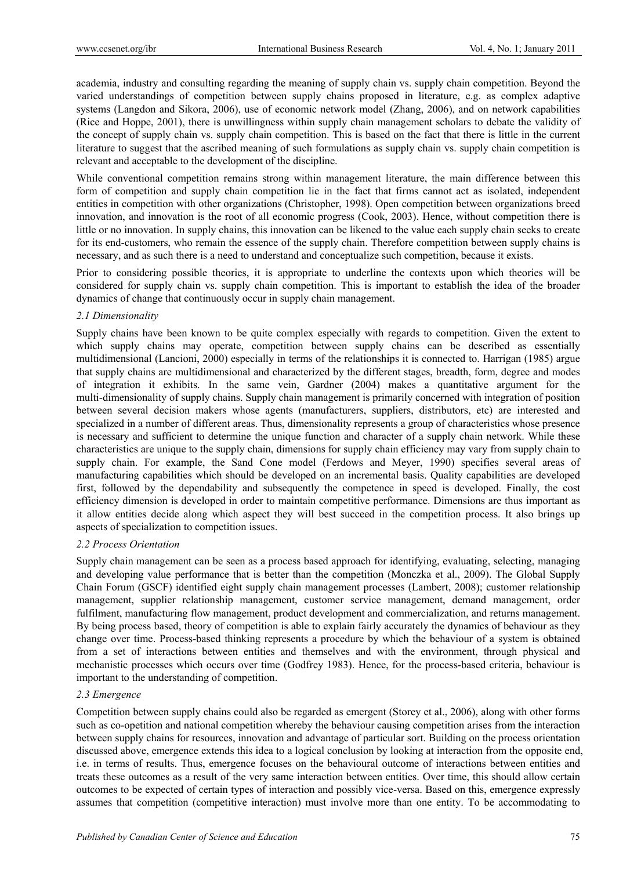academia, industry and consulting regarding the meaning of supply chain vs. supply chain competition. Beyond the varied understandings of competition between supply chains proposed in literature, e.g. as complex adaptive systems (Langdon and Sikora, 2006), use of economic network model (Zhang, 2006), and on network capabilities (Rice and Hoppe, 2001), there is unwillingness within supply chain management scholars to debate the validity of the concept of supply chain vs. supply chain competition. This is based on the fact that there is little in the current literature to suggest that the ascribed meaning of such formulations as supply chain vs. supply chain competition is relevant and acceptable to the development of the discipline.

While conventional competition remains strong within management literature, the main difference between this form of competition and supply chain competition lie in the fact that firms cannot act as isolated, independent entities in competition with other organizations (Christopher, 1998). Open competition between organizations breed innovation, and innovation is the root of all economic progress (Cook, 2003). Hence, without competition there is little or no innovation. In supply chains, this innovation can be likened to the value each supply chain seeks to create for its end-customers, who remain the essence of the supply chain. Therefore competition between supply chains is necessary, and as such there is a need to understand and conceptualize such competition, because it exists.

Prior to considering possible theories, it is appropriate to underline the contexts upon which theories will be considered for supply chain vs. supply chain competition. This is important to establish the idea of the broader dynamics of change that continuously occur in supply chain management.

## *2.1 Dimensionality*

Supply chains have been known to be quite complex especially with regards to competition. Given the extent to which supply chains may operate, competition between supply chains can be described as essentially multidimensional (Lancioni, 2000) especially in terms of the relationships it is connected to. Harrigan (1985) argue that supply chains are multidimensional and characterized by the different stages, breadth, form, degree and modes of integration it exhibits. In the same vein, Gardner (2004) makes a quantitative argument for the multi-dimensionality of supply chains. Supply chain management is primarily concerned with integration of position between several decision makers whose agents (manufacturers, suppliers, distributors, etc) are interested and specialized in a number of different areas. Thus, dimensionality represents a group of characteristics whose presence is necessary and sufficient to determine the unique function and character of a supply chain network. While these characteristics are unique to the supply chain, dimensions for supply chain efficiency may vary from supply chain to supply chain. For example, the Sand Cone model (Ferdows and Meyer, 1990) specifies several areas of manufacturing capabilities which should be developed on an incremental basis. Quality capabilities are developed first, followed by the dependability and subsequently the competence in speed is developed. Finally, the cost efficiency dimension is developed in order to maintain competitive performance. Dimensions are thus important as it allow entities decide along which aspect they will best succeed in the competition process. It also brings up aspects of specialization to competition issues.

## *2.2 Process Orientation*

Supply chain management can be seen as a process based approach for identifying, evaluating, selecting, managing and developing value performance that is better than the competition (Monczka et al., 2009). The Global Supply Chain Forum (GSCF) identified eight supply chain management processes (Lambert, 2008); customer relationship management, supplier relationship management, customer service management, demand management, order fulfilment, manufacturing flow management, product development and commercialization, and returns management. By being process based, theory of competition is able to explain fairly accurately the dynamics of behaviour as they change over time. Process-based thinking represents a procedure by which the behaviour of a system is obtained from a set of interactions between entities and themselves and with the environment, through physical and mechanistic processes which occurs over time (Godfrey 1983). Hence, for the process-based criteria, behaviour is important to the understanding of competition.

## *2.3 Emergence*

Competition between supply chains could also be regarded as emergent (Storey et al., 2006), along with other forms such as co-opetition and national competition whereby the behaviour causing competition arises from the interaction between supply chains for resources, innovation and advantage of particular sort. Building on the process orientation discussed above, emergence extends this idea to a logical conclusion by looking at interaction from the opposite end, i.e. in terms of results. Thus, emergence focuses on the behavioural outcome of interactions between entities and treats these outcomes as a result of the very same interaction between entities. Over time, this should allow certain outcomes to be expected of certain types of interaction and possibly vice-versa. Based on this, emergence expressly assumes that competition (competitive interaction) must involve more than one entity. To be accommodating to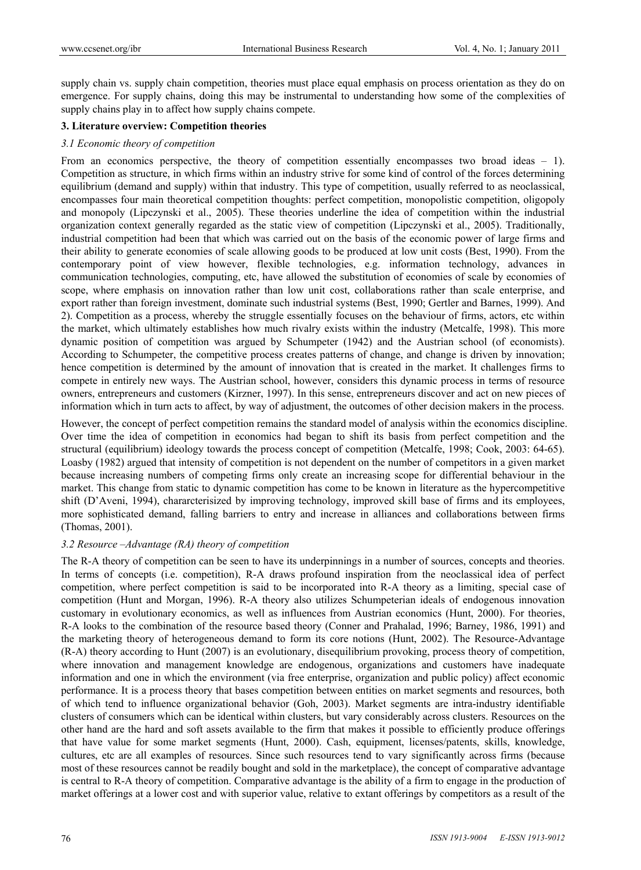supply chain vs. supply chain competition, theories must place equal emphasis on process orientation as they do on emergence. For supply chains, doing this may be instrumental to understanding how some of the complexities of supply chains play in to affect how supply chains compete.

# **3. Literature overview: Competition theories**

## *3.1 Economic theory of competition*

From an economics perspective, the theory of competition essentially encompasses two broad ideas - 1). Competition as structure, in which firms within an industry strive for some kind of control of the forces determining equilibrium (demand and supply) within that industry. This type of competition, usually referred to as neoclassical, encompasses four main theoretical competition thoughts: perfect competition, monopolistic competition, oligopoly and monopoly (Lipczynski et al., 2005). These theories underline the idea of competition within the industrial organization context generally regarded as the static view of competition (Lipczynski et al., 2005). Traditionally, industrial competition had been that which was carried out on the basis of the economic power of large firms and their ability to generate economies of scale allowing goods to be produced at low unit costs (Best, 1990). From the contemporary point of view however, flexible technologies, e.g. information technology, advances in communication technologies, computing, etc, have allowed the substitution of economies of scale by economies of scope, where emphasis on innovation rather than low unit cost, collaborations rather than scale enterprise, and export rather than foreign investment, dominate such industrial systems (Best, 1990; Gertler and Barnes, 1999). And 2). Competition as a process, whereby the struggle essentially focuses on the behaviour of firms, actors, etc within the market, which ultimately establishes how much rivalry exists within the industry (Metcalfe, 1998). This more dynamic position of competition was argued by Schumpeter (1942) and the Austrian school (of economists). According to Schumpeter, the competitive process creates patterns of change, and change is driven by innovation; hence competition is determined by the amount of innovation that is created in the market. It challenges firms to compete in entirely new ways. The Austrian school, however, considers this dynamic process in terms of resource owners, entrepreneurs and customers (Kirzner, 1997). In this sense, entrepreneurs discover and act on new pieces of information which in turn acts to affect, by way of adjustment, the outcomes of other decision makers in the process.

However, the concept of perfect competition remains the standard model of analysis within the economics discipline. Over time the idea of competition in economics had began to shift its basis from perfect competition and the structural (equilibrium) ideology towards the process concept of competition (Metcalfe, 1998; Cook, 2003: 64-65). Loasby (1982) argued that intensity of competition is not dependent on the number of competitors in a given market because increasing numbers of competing firms only create an increasing scope for differential behaviour in the market. This change from static to dynamic competition has come to be known in literature as the hypercompetitive shift (D'Aveni, 1994), chararcterisized by improving technology, improved skill base of firms and its employees, more sophisticated demand, falling barriers to entry and increase in alliances and collaborations between firms (Thomas, 2001).

## *3.2 Resource –Advantage (RA) theory of competition*

The R-A theory of competition can be seen to have its underpinnings in a number of sources, concepts and theories. In terms of concepts (i.e. competition), R-A draws profound inspiration from the neoclassical idea of perfect competition, where perfect competition is said to be incorporated into R-A theory as a limiting, special case of competition (Hunt and Morgan, 1996). R-A theory also utilizes Schumpeterian ideals of endogenous innovation customary in evolutionary economics, as well as influences from Austrian economics (Hunt, 2000). For theories, R-A looks to the combination of the resource based theory (Conner and Prahalad, 1996; Barney, 1986, 1991) and the marketing theory of heterogeneous demand to form its core notions (Hunt, 2002). The Resource-Advantage (R-A) theory according to Hunt (2007) is an evolutionary, disequilibrium provoking, process theory of competition, where innovation and management knowledge are endogenous, organizations and customers have inadequate information and one in which the environment (via free enterprise, organization and public policy) affect economic performance. It is a process theory that bases competition between entities on market segments and resources, both of which tend to influence organizational behavior (Goh, 2003). Market segments are intra-industry identifiable clusters of consumers which can be identical within clusters, but vary considerably across clusters. Resources on the other hand are the hard and soft assets available to the firm that makes it possible to efficiently produce offerings that have value for some market segments (Hunt, 2000). Cash, equipment, licenses/patents, skills, knowledge, cultures, etc are all examples of resources. Since such resources tend to vary significantly across firms (because most of these resources cannot be readily bought and sold in the marketplace), the concept of comparative advantage is central to R-A theory of competition. Comparative advantage is the ability of a firm to engage in the production of market offerings at a lower cost and with superior value, relative to extant offerings by competitors as a result of the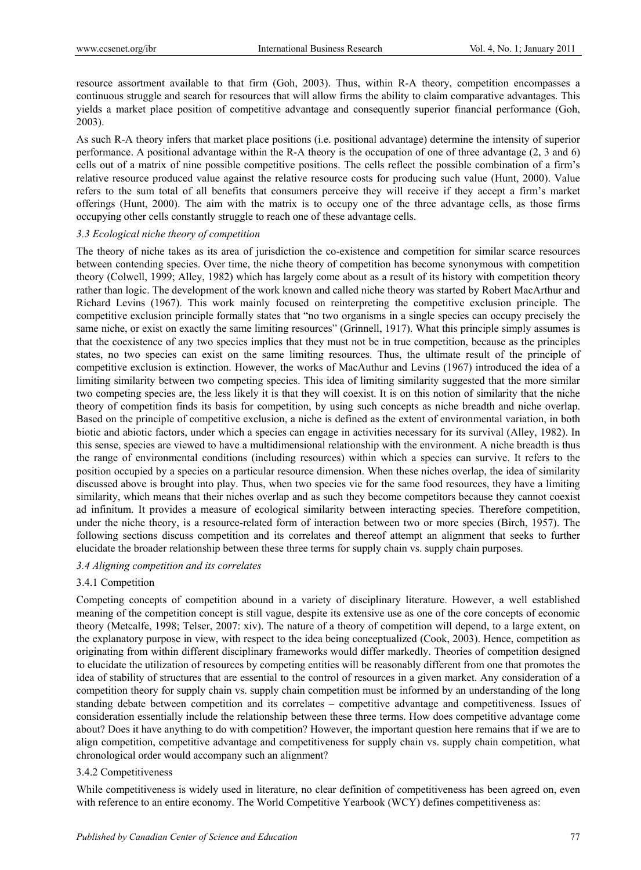resource assortment available to that firm (Goh, 2003). Thus, within R-A theory, competition encompasses a continuous struggle and search for resources that will allow firms the ability to claim comparative advantages. This yields a market place position of competitive advantage and consequently superior financial performance (Goh, 2003).

As such R-A theory infers that market place positions (i.e. positional advantage) determine the intensity of superior performance. A positional advantage within the R-A theory is the occupation of one of three advantage (2, 3 and 6) cells out of a matrix of nine possible competitive positions. The cells reflect the possible combination of a firm's relative resource produced value against the relative resource costs for producing such value (Hunt, 2000). Value refers to the sum total of all benefits that consumers perceive they will receive if they accept a firm's market offerings (Hunt, 2000). The aim with the matrix is to occupy one of the three advantage cells, as those firms occupying other cells constantly struggle to reach one of these advantage cells.

## *3.3 Ecological niche theory of competition*

The theory of niche takes as its area of jurisdiction the co-existence and competition for similar scarce resources between contending species. Over time, the niche theory of competition has become synonymous with competition theory (Colwell, 1999; Alley, 1982) which has largely come about as a result of its history with competition theory rather than logic. The development of the work known and called niche theory was started by Robert MacArthur and Richard Levins (1967). This work mainly focused on reinterpreting the competitive exclusion principle. The competitive exclusion principle formally states that "no two organisms in a single species can occupy precisely the same niche, or exist on exactly the same limiting resources" (Grinnell, 1917). What this principle simply assumes is that the coexistence of any two species implies that they must not be in true competition, because as the principles states, no two species can exist on the same limiting resources. Thus, the ultimate result of the principle of competitive exclusion is extinction. However, the works of MacAuthur and Levins (1967) introduced the idea of a limiting similarity between two competing species. This idea of limiting similarity suggested that the more similar two competing species are, the less likely it is that they will coexist. It is on this notion of similarity that the niche theory of competition finds its basis for competition, by using such concepts as niche breadth and niche overlap. Based on the principle of competitive exclusion, a niche is defined as the extent of environmental variation, in both biotic and abiotic factors, under which a species can engage in activities necessary for its survival (Alley, 1982). In this sense, species are viewed to have a multidimensional relationship with the environment. A niche breadth is thus the range of environmental conditions (including resources) within which a species can survive. It refers to the position occupied by a species on a particular resource dimension. When these niches overlap, the idea of similarity discussed above is brought into play. Thus, when two species vie for the same food resources, they have a limiting similarity, which means that their niches overlap and as such they become competitors because they cannot coexist ad infinitum. It provides a measure of ecological similarity between interacting species. Therefore competition, under the niche theory, is a resource-related form of interaction between two or more species (Birch, 1957). The following sections discuss competition and its correlates and thereof attempt an alignment that seeks to further elucidate the broader relationship between these three terms for supply chain vs. supply chain purposes.

#### *3.4 Aligning competition and its correlates*

## 3.4.1 Competition

Competing concepts of competition abound in a variety of disciplinary literature. However, a well established meaning of the competition concept is still vague, despite its extensive use as one of the core concepts of economic theory (Metcalfe, 1998; Telser, 2007: xiv). The nature of a theory of competition will depend, to a large extent, on the explanatory purpose in view, with respect to the idea being conceptualized (Cook, 2003). Hence, competition as originating from within different disciplinary frameworks would differ markedly. Theories of competition designed to elucidate the utilization of resources by competing entities will be reasonably different from one that promotes the idea of stability of structures that are essential to the control of resources in a given market. Any consideration of a competition theory for supply chain vs. supply chain competition must be informed by an understanding of the long standing debate between competition and its correlates – competitive advantage and competitiveness. Issues of consideration essentially include the relationship between these three terms. How does competitive advantage come about? Does it have anything to do with competition? However, the important question here remains that if we are to align competition, competitive advantage and competitiveness for supply chain vs. supply chain competition, what chronological order would accompany such an alignment?

## 3.4.2 Competitiveness

While competitiveness is widely used in literature, no clear definition of competitiveness has been agreed on, even with reference to an entire economy. The World Competitive Yearbook (WCY) defines competitiveness as: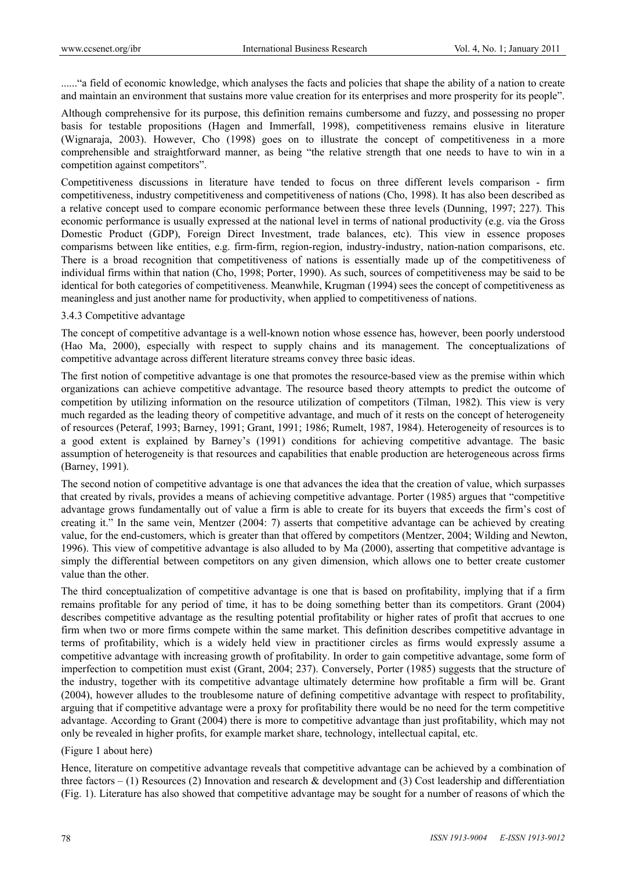......"a field of economic knowledge, which analyses the facts and policies that shape the ability of a nation to create and maintain an environment that sustains more value creation for its enterprises and more prosperity for its people".

Although comprehensive for its purpose, this definition remains cumbersome and fuzzy, and possessing no proper basis for testable propositions (Hagen and Immerfall, 1998), competitiveness remains elusive in literature (Wignaraja, 2003). However, Cho (1998) goes on to illustrate the concept of competitiveness in a more comprehensible and straightforward manner, as being "the relative strength that one needs to have to win in a competition against competitors".

Competitiveness discussions in literature have tended to focus on three different levels comparison - firm competitiveness, industry competitiveness and competitiveness of nations (Cho, 1998). It has also been described as a relative concept used to compare economic performance between these three levels (Dunning, 1997; 227). This economic performance is usually expressed at the national level in terms of national productivity (e.g. via the Gross Domestic Product (GDP), Foreign Direct Investment, trade balances, etc). This view in essence proposes comparisms between like entities, e.g. firm-firm, region-region, industry-industry, nation-nation comparisons, etc. There is a broad recognition that competitiveness of nations is essentially made up of the competitiveness of individual firms within that nation (Cho, 1998; Porter, 1990). As such, sources of competitiveness may be said to be identical for both categories of competitiveness. Meanwhile, Krugman (1994) sees the concept of competitiveness as meaningless and just another name for productivity, when applied to competitiveness of nations.

## 3.4.3 Competitive advantage

The concept of competitive advantage is a well-known notion whose essence has, however, been poorly understood (Hao Ma, 2000), especially with respect to supply chains and its management. The conceptualizations of competitive advantage across different literature streams convey three basic ideas.

The first notion of competitive advantage is one that promotes the resource-based view as the premise within which organizations can achieve competitive advantage. The resource based theory attempts to predict the outcome of competition by utilizing information on the resource utilization of competitors (Tilman, 1982). This view is very much regarded as the leading theory of competitive advantage, and much of it rests on the concept of heterogeneity of resources (Peteraf, 1993; Barney, 1991; Grant, 1991; 1986; Rumelt, 1987, 1984). Heterogeneity of resources is to a good extent is explained by Barney's (1991) conditions for achieving competitive advantage. The basic assumption of heterogeneity is that resources and capabilities that enable production are heterogeneous across firms (Barney, 1991).

The second notion of competitive advantage is one that advances the idea that the creation of value, which surpasses that created by rivals, provides a means of achieving competitive advantage. Porter (1985) argues that "competitive advantage grows fundamentally out of value a firm is able to create for its buyers that exceeds the firm's cost of creating it." In the same vein, Mentzer (2004: 7) asserts that competitive advantage can be achieved by creating value, for the end-customers, which is greater than that offered by competitors (Mentzer, 2004; Wilding and Newton, 1996). This view of competitive advantage is also alluded to by Ma (2000), asserting that competitive advantage is simply the differential between competitors on any given dimension, which allows one to better create customer value than the other.

The third conceptualization of competitive advantage is one that is based on profitability, implying that if a firm remains profitable for any period of time, it has to be doing something better than its competitors. Grant (2004) describes competitive advantage as the resulting potential profitability or higher rates of profit that accrues to one firm when two or more firms compete within the same market. This definition describes competitive advantage in terms of profitability, which is a widely held view in practitioner circles as firms would expressly assume a competitive advantage with increasing growth of profitability. In order to gain competitive advantage, some form of imperfection to competition must exist (Grant, 2004; 237). Conversely, Porter (1985) suggests that the structure of the industry, together with its competitive advantage ultimately determine how profitable a firm will be. Grant (2004), however alludes to the troublesome nature of defining competitive advantage with respect to profitability, arguing that if competitive advantage were a proxy for profitability there would be no need for the term competitive advantage. According to Grant (2004) there is more to competitive advantage than just profitability, which may not only be revealed in higher profits, for example market share, technology, intellectual capital, etc.

## (Figure 1 about here)

Hence, literature on competitive advantage reveals that competitive advantage can be achieved by a combination of three factors – (1) Resources (2) Innovation and research & development and (3) Cost leadership and differentiation (Fig. 1). Literature has also showed that competitive advantage may be sought for a number of reasons of which the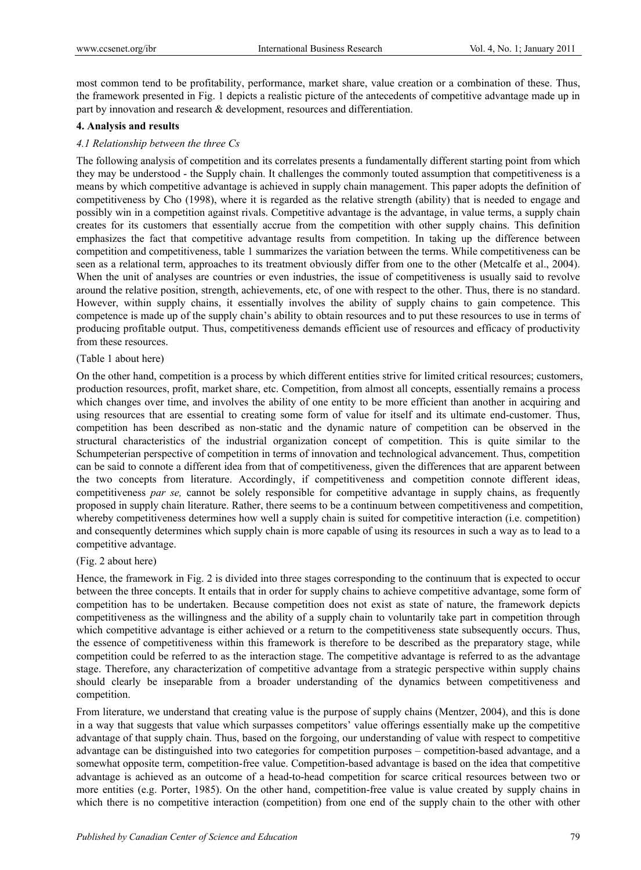most common tend to be profitability, performance, market share, value creation or a combination of these. Thus, the framework presented in Fig. 1 depicts a realistic picture of the antecedents of competitive advantage made up in part by innovation and research & development, resources and differentiation.

# **4. Analysis and results**

# *4.1 Relationship between the three Cs*

The following analysis of competition and its correlates presents a fundamentally different starting point from which they may be understood - the Supply chain. It challenges the commonly touted assumption that competitiveness is a means by which competitive advantage is achieved in supply chain management. This paper adopts the definition of competitiveness by Cho (1998), where it is regarded as the relative strength (ability) that is needed to engage and possibly win in a competition against rivals. Competitive advantage is the advantage, in value terms, a supply chain creates for its customers that essentially accrue from the competition with other supply chains. This definition emphasizes the fact that competitive advantage results from competition. In taking up the difference between competition and competitiveness, table 1 summarizes the variation between the terms. While competitiveness can be seen as a relational term, approaches to its treatment obviously differ from one to the other (Metcalfe et al., 2004). When the unit of analyses are countries or even industries, the issue of competitiveness is usually said to revolve around the relative position, strength, achievements, etc, of one with respect to the other. Thus, there is no standard. However, within supply chains, it essentially involves the ability of supply chains to gain competence. This competence is made up of the supply chain's ability to obtain resources and to put these resources to use in terms of producing profitable output. Thus, competitiveness demands efficient use of resources and efficacy of productivity from these resources.

## (Table 1 about here)

On the other hand, competition is a process by which different entities strive for limited critical resources; customers, production resources, profit, market share, etc. Competition, from almost all concepts, essentially remains a process which changes over time, and involves the ability of one entity to be more efficient than another in acquiring and using resources that are essential to creating some form of value for itself and its ultimate end-customer. Thus, competition has been described as non-static and the dynamic nature of competition can be observed in the structural characteristics of the industrial organization concept of competition. This is quite similar to the Schumpeterian perspective of competition in terms of innovation and technological advancement. Thus, competition can be said to connote a different idea from that of competitiveness, given the differences that are apparent between the two concepts from literature. Accordingly, if competitiveness and competition connote different ideas, competitiveness *par se,* cannot be solely responsible for competitive advantage in supply chains, as frequently proposed in supply chain literature. Rather, there seems to be a continuum between competitiveness and competition, whereby competitiveness determines how well a supply chain is suited for competitive interaction (i.e. competition) and consequently determines which supply chain is more capable of using its resources in such a way as to lead to a competitive advantage.

## (Fig. 2 about here)

Hence, the framework in Fig. 2 is divided into three stages corresponding to the continuum that is expected to occur between the three concepts. It entails that in order for supply chains to achieve competitive advantage, some form of competition has to be undertaken. Because competition does not exist as state of nature, the framework depicts competitiveness as the willingness and the ability of a supply chain to voluntarily take part in competition through which competitive advantage is either achieved or a return to the competitiveness state subsequently occurs. Thus, the essence of competitiveness within this framework is therefore to be described as the preparatory stage, while competition could be referred to as the interaction stage. The competitive advantage is referred to as the advantage stage. Therefore, any characterization of competitive advantage from a strategic perspective within supply chains should clearly be inseparable from a broader understanding of the dynamics between competitiveness and competition.

From literature, we understand that creating value is the purpose of supply chains (Mentzer, 2004), and this is done in a way that suggests that value which surpasses competitors' value offerings essentially make up the competitive advantage of that supply chain. Thus, based on the forgoing, our understanding of value with respect to competitive advantage can be distinguished into two categories for competition purposes – competition-based advantage, and a somewhat opposite term, competition-free value. Competition-based advantage is based on the idea that competitive advantage is achieved as an outcome of a head-to-head competition for scarce critical resources between two or more entities (e.g. Porter, 1985). On the other hand, competition-free value is value created by supply chains in which there is no competitive interaction (competition) from one end of the supply chain to the other with other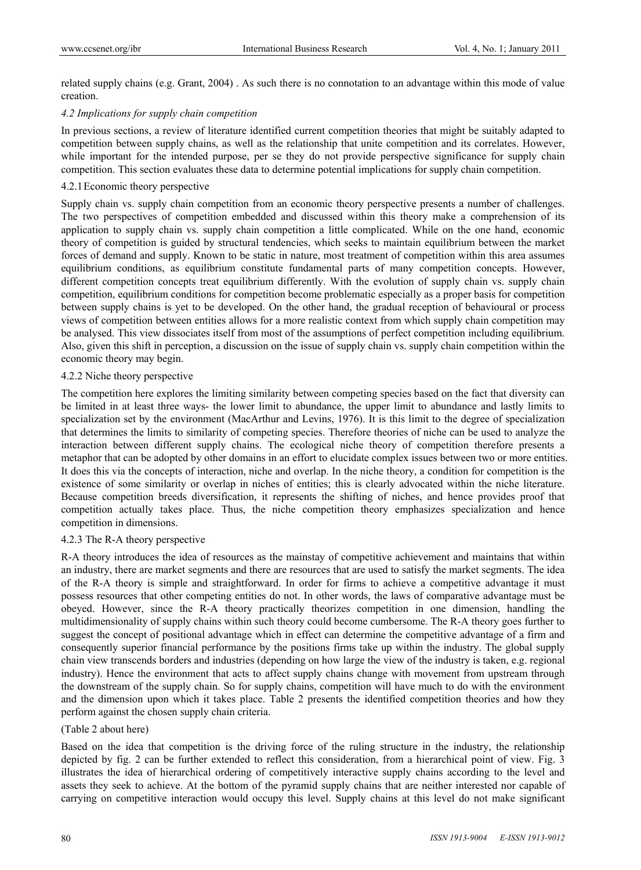related supply chains (e.g. Grant, 2004) . As such there is no connotation to an advantage within this mode of value creation.

## *4.2 Implications for supply chain competition*

In previous sections, a review of literature identified current competition theories that might be suitably adapted to competition between supply chains, as well as the relationship that unite competition and its correlates. However, while important for the intended purpose, per se they do not provide perspective significance for supply chain competition. This section evaluates these data to determine potential implications for supply chain competition.

#### 4.2.1 Economic theory perspective

Supply chain vs. supply chain competition from an economic theory perspective presents a number of challenges. The two perspectives of competition embedded and discussed within this theory make a comprehension of its application to supply chain vs. supply chain competition a little complicated. While on the one hand, economic theory of competition is guided by structural tendencies, which seeks to maintain equilibrium between the market forces of demand and supply. Known to be static in nature, most treatment of competition within this area assumes equilibrium conditions, as equilibrium constitute fundamental parts of many competition concepts. However, different competition concepts treat equilibrium differently. With the evolution of supply chain vs. supply chain competition, equilibrium conditions for competition become problematic especially as a proper basis for competition between supply chains is yet to be developed. On the other hand, the gradual reception of behavioural or process views of competition between entities allows for a more realistic context from which supply chain competition may be analysed. This view dissociates itself from most of the assumptions of perfect competition including equilibrium. Also, given this shift in perception, a discussion on the issue of supply chain vs. supply chain competition within the economic theory may begin.

#### 4.2.2 Niche theory perspective

The competition here explores the limiting similarity between competing species based on the fact that diversity can be limited in at least three ways- the lower limit to abundance, the upper limit to abundance and lastly limits to specialization set by the environment (MacArthur and Levins, 1976). It is this limit to the degree of specialization that determines the limits to similarity of competing species. Therefore theories of niche can be used to analyze the interaction between different supply chains. The ecological niche theory of competition therefore presents a metaphor that can be adopted by other domains in an effort to elucidate complex issues between two or more entities. It does this via the concepts of interaction, niche and overlap. In the niche theory, a condition for competition is the existence of some similarity or overlap in niches of entities; this is clearly advocated within the niche literature. Because competition breeds diversification, it represents the shifting of niches, and hence provides proof that competition actually takes place. Thus, the niche competition theory emphasizes specialization and hence competition in dimensions.

#### 4.2.3 The R-A theory perspective

R-A theory introduces the idea of resources as the mainstay of competitive achievement and maintains that within an industry, there are market segments and there are resources that are used to satisfy the market segments. The idea of the R-A theory is simple and straightforward. In order for firms to achieve a competitive advantage it must possess resources that other competing entities do not. In other words, the laws of comparative advantage must be obeyed. However, since the R-A theory practically theorizes competition in one dimension, handling the multidimensionality of supply chains within such theory could become cumbersome. The R-A theory goes further to suggest the concept of positional advantage which in effect can determine the competitive advantage of a firm and consequently superior financial performance by the positions firms take up within the industry. The global supply chain view transcends borders and industries (depending on how large the view of the industry is taken, e.g. regional industry). Hence the environment that acts to affect supply chains change with movement from upstream through the downstream of the supply chain. So for supply chains, competition will have much to do with the environment and the dimension upon which it takes place. Table 2 presents the identified competition theories and how they perform against the chosen supply chain criteria.

## (Table 2 about here)

Based on the idea that competition is the driving force of the ruling structure in the industry, the relationship depicted by fig. 2 can be further extended to reflect this consideration, from a hierarchical point of view. Fig. 3 illustrates the idea of hierarchical ordering of competitively interactive supply chains according to the level and assets they seek to achieve. At the bottom of the pyramid supply chains that are neither interested nor capable of carrying on competitive interaction would occupy this level. Supply chains at this level do not make significant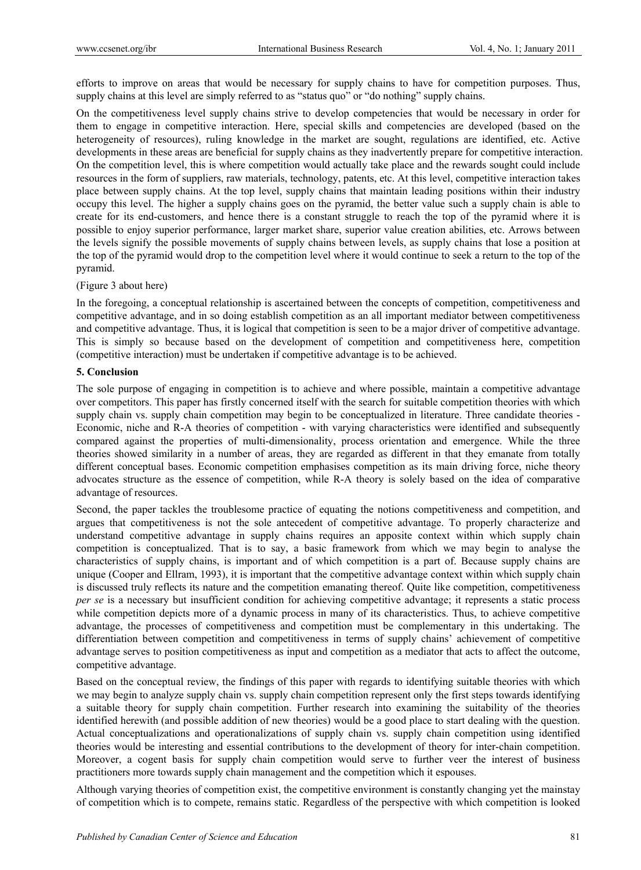efforts to improve on areas that would be necessary for supply chains to have for competition purposes. Thus, supply chains at this level are simply referred to as "status quo" or "do nothing" supply chains.

On the competitiveness level supply chains strive to develop competencies that would be necessary in order for them to engage in competitive interaction. Here, special skills and competencies are developed (based on the heterogeneity of resources), ruling knowledge in the market are sought, regulations are identified, etc. Active developments in these areas are beneficial for supply chains as they inadvertently prepare for competitive interaction. On the competition level, this is where competition would actually take place and the rewards sought could include resources in the form of suppliers, raw materials, technology, patents, etc. At this level, competitive interaction takes place between supply chains. At the top level, supply chains that maintain leading positions within their industry occupy this level. The higher a supply chains goes on the pyramid, the better value such a supply chain is able to create for its end-customers, and hence there is a constant struggle to reach the top of the pyramid where it is possible to enjoy superior performance, larger market share, superior value creation abilities, etc. Arrows between the levels signify the possible movements of supply chains between levels, as supply chains that lose a position at the top of the pyramid would drop to the competition level where it would continue to seek a return to the top of the pyramid.

## (Figure 3 about here)

In the foregoing, a conceptual relationship is ascertained between the concepts of competition, competitiveness and competitive advantage, and in so doing establish competition as an all important mediator between competitiveness and competitive advantage. Thus, it is logical that competition is seen to be a major driver of competitive advantage. This is simply so because based on the development of competition and competitiveness here, competition (competitive interaction) must be undertaken if competitive advantage is to be achieved.

#### **5. Conclusion**

The sole purpose of engaging in competition is to achieve and where possible, maintain a competitive advantage over competitors. This paper has firstly concerned itself with the search for suitable competition theories with which supply chain vs. supply chain competition may begin to be conceptualized in literature. Three candidate theories -Economic, niche and R-A theories of competition - with varying characteristics were identified and subsequently compared against the properties of multi-dimensionality, process orientation and emergence. While the three theories showed similarity in a number of areas, they are regarded as different in that they emanate from totally different conceptual bases. Economic competition emphasises competition as its main driving force, niche theory advocates structure as the essence of competition, while R-A theory is solely based on the idea of comparative advantage of resources.

Second, the paper tackles the troublesome practice of equating the notions competitiveness and competition, and argues that competitiveness is not the sole antecedent of competitive advantage. To properly characterize and understand competitive advantage in supply chains requires an apposite context within which supply chain competition is conceptualized. That is to say, a basic framework from which we may begin to analyse the characteristics of supply chains, is important and of which competition is a part of. Because supply chains are unique (Cooper and Ellram, 1993), it is important that the competitive advantage context within which supply chain is discussed truly reflects its nature and the competition emanating thereof. Quite like competition, competitiveness *per se* is a necessary but insufficient condition for achieving competitive advantage; it represents a static process while competition depicts more of a dynamic process in many of its characteristics. Thus, to achieve competitive advantage, the processes of competitiveness and competition must be complementary in this undertaking. The differentiation between competition and competitiveness in terms of supply chains' achievement of competitive advantage serves to position competitiveness as input and competition as a mediator that acts to affect the outcome, competitive advantage.

Based on the conceptual review, the findings of this paper with regards to identifying suitable theories with which we may begin to analyze supply chain vs. supply chain competition represent only the first steps towards identifying a suitable theory for supply chain competition. Further research into examining the suitability of the theories identified herewith (and possible addition of new theories) would be a good place to start dealing with the question. Actual conceptualizations and operationalizations of supply chain vs. supply chain competition using identified theories would be interesting and essential contributions to the development of theory for inter-chain competition. Moreover, a cogent basis for supply chain competition would serve to further veer the interest of business practitioners more towards supply chain management and the competition which it espouses.

Although varying theories of competition exist, the competitive environment is constantly changing yet the mainstay of competition which is to compete, remains static. Regardless of the perspective with which competition is looked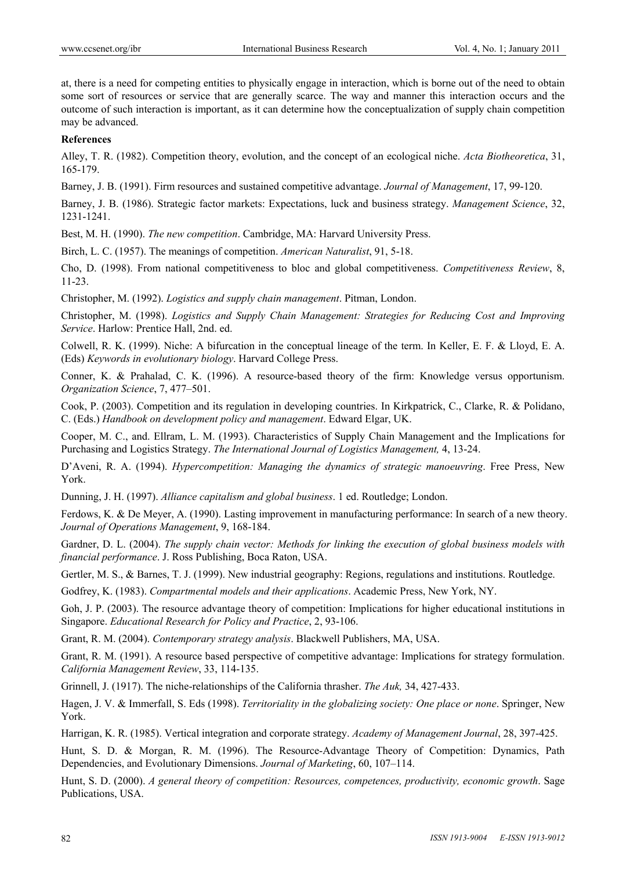at, there is a need for competing entities to physically engage in interaction, which is borne out of the need to obtain some sort of resources or service that are generally scarce. The way and manner this interaction occurs and the outcome of such interaction is important, as it can determine how the conceptualization of supply chain competition may be advanced.

#### **References**

Alley, T. R. (1982). Competition theory, evolution, and the concept of an ecological niche. *Acta Biotheoretica*, 31, 165-179.

Barney, J. B. (1991). Firm resources and sustained competitive advantage. *Journal of Management*, 17, 99-120.

Barney, J. B. (1986). Strategic factor markets: Expectations, luck and business strategy. *Management Science*, 32, 1231-1241.

Best, M. H. (1990). *The new competition*. Cambridge, MA: Harvard University Press.

Birch, L. C. (1957). The meanings of competition. *American Naturalist*, 91, 5-18.

Cho, D. (1998). From national competitiveness to bloc and global competitiveness. *Competitiveness Review*, 8, 11-23.

Christopher, M. (1992). *Logistics and supply chain management*. Pitman, London.

Christopher, M. (1998). *Logistics and Supply Chain Management: Strategies for Reducing Cost and Improving Service*. Harlow: Prentice Hall, 2nd. ed.

Colwell, R. K. (1999). Niche: A bifurcation in the conceptual lineage of the term. In Keller, E. F. & Lloyd, E. A. (Eds) *Keywords in evolutionary biology*. Harvard College Press.

Conner, K. & Prahalad, C. K. (1996). A resource-based theory of the firm: Knowledge versus opportunism. *Organization Science*, 7, 477–501.

Cook, P. (2003). Competition and its regulation in developing countries. In Kirkpatrick, C., Clarke, R. & Polidano, C. (Eds.) *Handbook on development policy and management*. Edward Elgar, UK.

Cooper, M. C., and. Ellram, L. M. (1993). Characteristics of Supply Chain Management and the Implications for Purchasing and Logistics Strategy. *The International Journal of Logistics Management,* 4, 13-24.

D'Aveni, R. A. (1994). *Hypercompetition: Managing the dynamics of strategic manoeuvring*. Free Press, New York.

Dunning, J. H. (1997). *Alliance capitalism and global business*. 1 ed. Routledge; London.

Ferdows, K. & De Meyer, A. (1990). Lasting improvement in manufacturing performance: In search of a new theory. *Journal of Operations Management*, 9, 168-184.

Gardner, D. L. (2004). *The supply chain vector: Methods for linking the execution of global business models with financial performance*. J. Ross Publishing, Boca Raton, USA.

Gertler, M. S., & Barnes, T. J. (1999). New industrial geography: Regions, regulations and institutions. Routledge.

Godfrey, K. (1983). *Compartmental models and their applications*. Academic Press, New York, NY.

Goh, J. P. (2003). The resource advantage theory of competition: Implications for higher educational institutions in Singapore. *Educational Research for Policy and Practice*, 2, 93-106.

Grant, R. M. (2004). *Contemporary strategy analysis*. Blackwell Publishers, MA, USA.

Grant, R. M. (1991). A resource based perspective of competitive advantage: Implications for strategy formulation. *California Management Review*, 33, 114-135.

Grinnell, J. (1917). The niche-relationships of the California thrasher. *The Auk,* 34, 427-433.

Hagen, J. V. & Immerfall, S. Eds (1998). *Territoriality in the globalizing society: One place or none*. Springer, New York.

Harrigan, K. R. (1985). Vertical integration and corporate strategy. *Academy of Management Journal*, 28, 397-425.

Hunt, S. D. & Morgan, R. M. (1996). The Resource-Advantage Theory of Competition: Dynamics, Path Dependencies, and Evolutionary Dimensions. *Journal of Marketing*, 60, 107–114.

Hunt, S. D. (2000). *A general theory of competition: Resources, competences, productivity, economic growth*. Sage Publications, USA.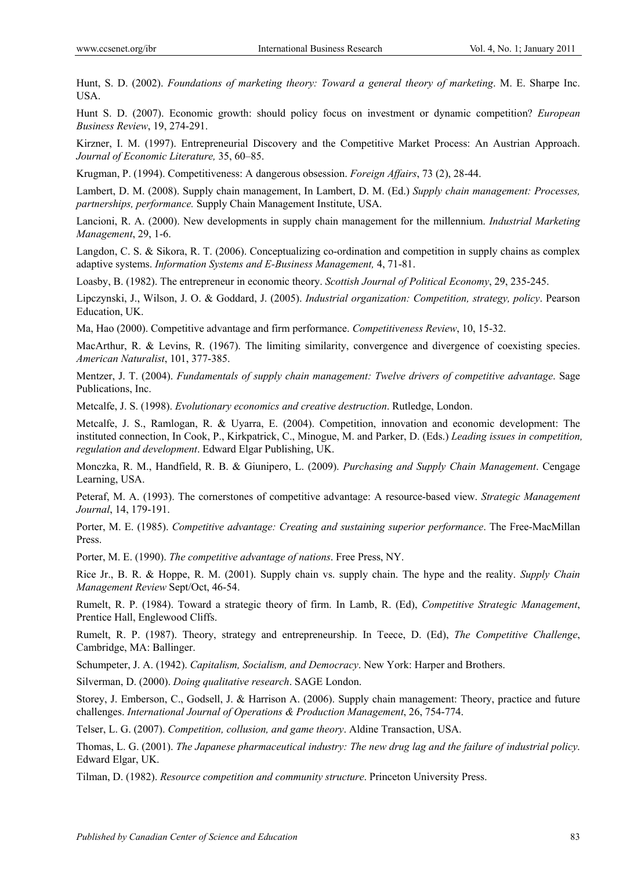Hunt, S. D. (2002). *Foundations of marketing theory: Toward a general theory of marketing*. M. E. Sharpe Inc. USA.

Hunt S. D. (2007). Economic growth: should policy focus on investment or dynamic competition? *European Business Review*, 19, 274-291.

Kirzner, I. M. (1997). Entrepreneurial Discovery and the Competitive Market Process: An Austrian Approach. *Journal of Economic Literature,* 35, 60–85.

Krugman, P. (1994). Competitiveness: A dangerous obsession. *Foreign Affairs*, 73 (2), 28-44.

Lambert, D. M. (2008). Supply chain management, In Lambert, D. M. (Ed.) *Supply chain management: Processes, partnerships, performance.* Supply Chain Management Institute, USA.

Lancioni, R. A. (2000). New developments in supply chain management for the millennium. *Industrial Marketing Management*, 29, 1-6.

Langdon, C. S. & Sikora, R. T. (2006). Conceptualizing co-ordination and competition in supply chains as complex adaptive systems. *Information Systems and E-Business Management,* 4, 71-81.

Loasby, B. (1982). The entrepreneur in economic theory. *Scottish Journal of Political Economy*, 29, 235-245.

Lipczynski, J., Wilson, J. O. & Goddard, J. (2005). *Industrial organization: Competition, strategy, policy*. Pearson Education, UK.

Ma, Hao (2000). Competitive advantage and firm performance. *Competitiveness Review*, 10, 15-32.

MacArthur, R. & Levins, R. (1967). The limiting similarity, convergence and divergence of coexisting species. *American Naturalist*, 101, 377-385.

Mentzer, J. T. (2004). *Fundamentals of supply chain management: Twelve drivers of competitive advantage*. Sage Publications, Inc.

Metcalfe, J. S. (1998). *Evolutionary economics and creative destruction*. Rutledge, London.

Metcalfe, J. S., Ramlogan, R. & Uyarra, E. (2004). Competition, innovation and economic development: The instituted connection, In Cook, P., Kirkpatrick, C., Minogue, M. and Parker, D. (Eds.) *Leading issues in competition, regulation and development*. Edward Elgar Publishing, UK.

Monczka, R. M., Handfield, R. B. & Giunipero, L. (2009). *Purchasing and Supply Chain Management*. Cengage Learning, USA.

Peteraf, M. A. (1993). The cornerstones of competitive advantage: A resource-based view. *Strategic Management Journal*, 14, 179-191.

Porter, M. E. (1985). *Competitive advantage: Creating and sustaining superior performance*. The Free-MacMillan Press.

Porter, M. E. (1990). *The competitive advantage of nations*. Free Press, NY.

Rice Jr., B. R. & Hoppe, R. M. (2001). Supply chain vs. supply chain. The hype and the reality. *Supply Chain Management Review* Sept/Oct, 46-54.

Rumelt, R. P. (1984). Toward a strategic theory of firm. In Lamb, R. (Ed), *Competitive Strategic Management*, Prentice Hall, Englewood Cliffs.

Rumelt, R. P. (1987). Theory, strategy and entrepreneurship. In Teece, D. (Ed), *The Competitive Challenge*, Cambridge, MA: Ballinger.

Schumpeter, J. A. (1942). *Capitalism, Socialism, and Democracy*. New York: Harper and Brothers.

Silverman, D. (2000). *Doing qualitative research*. SAGE London.

Storey, J. Emberson, C., Godsell, J. & Harrison A. (2006). Supply chain management: Theory, practice and future challenges. *International Journal of Operations & Production Management*, 26, 754-774.

Telser, L. G. (2007). *Competition, collusion, and game theory*. Aldine Transaction, USA.

Thomas, L. G. (2001). *The Japanese pharmaceutical industry: The new drug lag and the failure of industrial policy*. Edward Elgar, UK.

Tilman, D. (1982). *Resource competition and community structure*. Princeton University Press.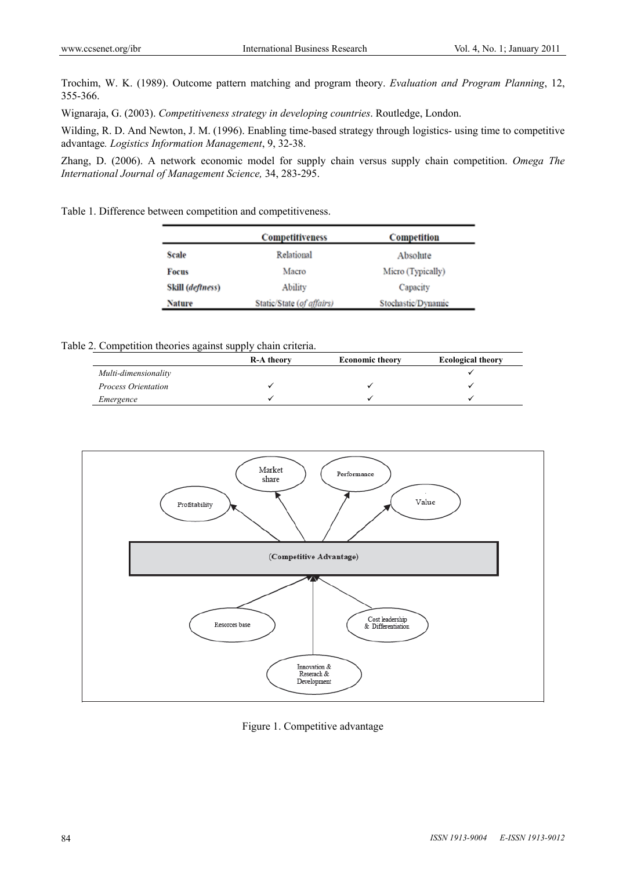Trochim, W. K. (1989). Outcome pattern matching and program theory. *Evaluation and Program Planning*, 12, 355-366.

Wignaraja, G. (2003). *Competitiveness strategy in developing countries*. Routledge, London.

Wilding, R. D. And Newton, J. M. (1996). Enabling time-based strategy through logistics- using time to competitive advantage*. Logistics Information Management*, 9, 32-38.

Zhang, D. (2006). A network economic model for supply chain versus supply chain competition. *Omega The International Journal of Management Science,* 34, 283-295.

Table 1. Difference between competition and competitiveness.

|                  | <b>Competitiveness</b>    | Competition        |  |
|------------------|---------------------------|--------------------|--|
| <b>Scale</b>     | Relational                | Absolute           |  |
| <b>Focus</b>     | Macro                     | Micro (Typically)  |  |
| Skill (deftness) | Ability                   | Capacity           |  |
| <b>Nature</b>    | Static/State (of affairs) | Stochastic/Dynamic |  |

#### Table 2. Competition theories against supply chain criteria.

|                            | <b>R-A theory</b> | <b>Economic theory</b> | <b>Ecological theory</b> |
|----------------------------|-------------------|------------------------|--------------------------|
| Multi-dimensionality       |                   |                        |                          |
| <b>Process Orientation</b> |                   |                        |                          |
| Emergence                  |                   |                        |                          |



Figure 1. Competitive advantage